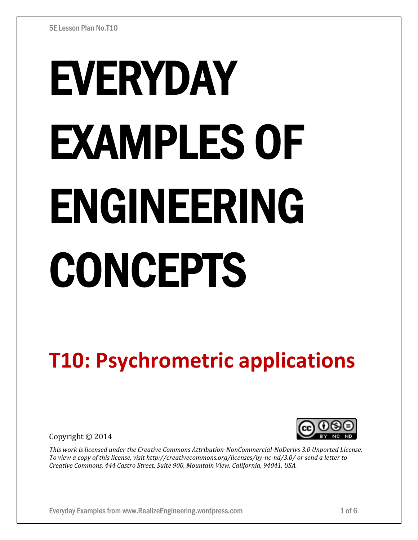# EVERYDAY EXAMPLES OF ENGINEERING CONCEPTS

# **T10: Psychrometric applications**

Copyright © 2014



*This work is licensed under the Creative Commons Attribution-NonCommercial-NoDerivs 3.0 Unported License. To view a copy of this license, visit http://creativecommons.org/licenses/by-nc-nd/3.0/ or send a letter to Creative Commons, 444 Castro Street, Suite 900, Mountain View, California, 94041, USA.*

Everyday Examples from www.RealizeEngineering.wordpress.com 1 of 6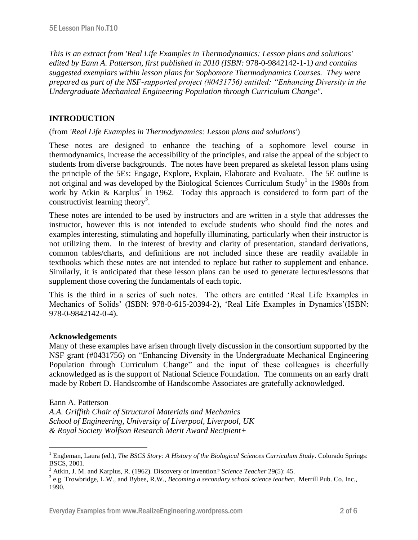*This is an extract from 'Real Life Examples in Thermodynamics: Lesson plans and solutions' edited by Eann A. Patterson, first published in 2010 (ISBN:* 978-0-9842142-1-1*) and contains suggested exemplars within lesson plans for Sophomore Thermodynamics Courses. They were prepared as part of the NSF-supported project (#0431756) entitled: "Enhancing Diversity in the Undergraduate Mechanical Engineering Population through Curriculum Change".* 

# **INTRODUCTION**

#### (from *'Real Life Examples in Thermodynamics: Lesson plans and solutions'*)

These notes are designed to enhance the teaching of a sophomore level course in thermodynamics, increase the accessibility of the principles, and raise the appeal of the subject to students from diverse backgrounds. The notes have been prepared as skeletal lesson plans using the principle of the 5Es: Engage, Explore, Explain, Elaborate and Evaluate. The 5E outline is not original and was developed by the Biological Sciences Curriculum Study<sup>1</sup> in the 1980s from work by Atkin & Karplus<sup>2</sup> in 1962. Today this approach is considered to form part of the constructivist learning theory<sup>3</sup>.

These notes are intended to be used by instructors and are written in a style that addresses the instructor, however this is not intended to exclude students who should find the notes and examples interesting, stimulating and hopefully illuminating, particularly when their instructor is not utilizing them. In the interest of brevity and clarity of presentation, standard derivations, common tables/charts, and definitions are not included since these are readily available in textbooks which these notes are not intended to replace but rather to supplement and enhance. Similarly, it is anticipated that these lesson plans can be used to generate lectures/lessons that supplement those covering the fundamentals of each topic.

This is the third in a series of such notes. The others are entitled 'Real Life Examples in Mechanics of Solids' (ISBN: 978-0-615-20394-2), 'Real Life Examples in Dynamics'(ISBN: 978-0-9842142-0-4).

#### **Acknowledgements**

Many of these examples have arisen through lively discussion in the consortium supported by the NSF grant (#0431756) on "Enhancing Diversity in the Undergraduate Mechanical Engineering Population through Curriculum Change" and the input of these colleagues is cheerfully acknowledged as is the support of National Science Foundation. The comments on an early draft made by Robert D. Handscombe of Handscombe Associates are gratefully acknowledged.

#### Eann A. Patterson

 $\overline{a}$ 

*A.A. Griffith Chair of Structural Materials and Mechanics School of Engineering, University of Liverpool, Liverpool, UK & Royal Society Wolfson Research Merit Award Recipient+*

<sup>&</sup>lt;sup>1</sup> Engleman, Laura (ed.), *The BSCS Story: A History of the Biological Sciences Curriculum Study*. Colorado Springs: BSCS, 2001.

<sup>2</sup> Atkin, J. M. and Karplus, R. (1962). Discovery or invention? *Science Teacher* 29(5): 45.

<sup>3</sup> e.g. Trowbridge, L.W., and Bybee, R.W., *Becoming a secondary school science teacher*. Merrill Pub. Co. Inc., 1990.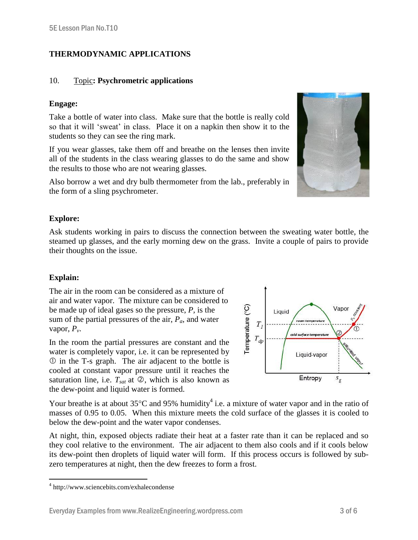# **THERMODYNAMIC APPLICATIONS**

#### 10. Topic**: Psychrometric applications**

#### **Engage:**

Take a bottle of water into class. Make sure that the bottle is really cold so that it will 'sweat' in class. Place it on a napkin then show it to the students so they can see the ring mark.

If you wear glasses, take them off and breathe on the lenses then invite all of the students in the class wearing glasses to do the same and show the results to those who are not wearing glasses.

Also borrow a wet and dry bulb thermometer from the lab., preferably in the form of a sling psychrometer.

#### **Explore:**

Ask students working in pairs to discuss the connection between the sweating water bottle, the steamed up glasses, and the early morning dew on the grass. Invite a couple of pairs to provide their thoughts on the issue.

## **Explain:**

 $\overline{a}$ 

The air in the room can be considered as a mixture of air and water vapor. The mixture can be considered to be made up of ideal gases so the pressure, *P,* is the sum of the partial pressures of the air, *Pa*, and water vapor,  $P_\nu$ .

In the room the partial pressures are constant and the water is completely vapor, i.e. it can be represented by in the T-s graph. The air adjacent to the bottle is cooled at constant vapor pressure until it reaches the saturation line, i.e.  $T_{sat}$  at  $\oslash$ , which is also known as the dew-point and liquid water is formed.



Your breathe is at about  $35^{\circ}$ C and 95% humidity<sup>4</sup> i.e. a mixture of water vapor and in the ratio of masses of 0.95 to 0.05. When this mixture meets the cold surface of the glasses it is cooled to below the dew-point and the water vapor condenses.

At night, thin, exposed objects radiate their heat at a faster rate than it can be replaced and so they cool relative to the environment. The air adjacent to them also cools and if it cools below its dew-point then droplets of liquid water will form. If this process occurs is followed by subzero temperatures at night, then the dew freezes to form a frost.



<sup>4</sup> http://www.sciencebits.com/exhalecondense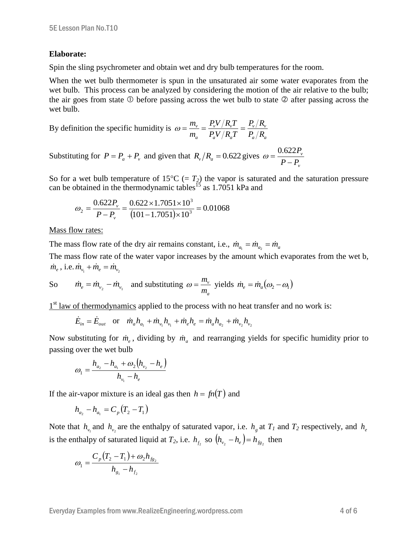#### **Elaborate:**

Spin the sling psychrometer and obtain wet and dry bulb temperatures for the room.

When the wet bulb thermometer is spun in the unsaturated air some water evaporates from the wet bulb. This process can be analyzed by considering the motion of the air relative to the bulb; the air goes from state  $\Phi$  before passing across the wet bulb to state  $\Phi$  after passing across the wet bulb.

By definition the specific humidity is 
$$
\omega = \frac{m_v}{m_a} = \frac{P_v V / R_v T}{P_a V / R_a T} = \frac{P_v / R_v}{P_a / R_a}
$$

Substituting for 
$$
P = P_a + P_v
$$
 and given that  $R_v/R_a = 0.622$  gives  $\omega = \frac{0.622 P_v}{P - P_v}$ 

So for a wet bulb temperature of  $15^{\circ}C$  (=  $T_2$ ) the vapor is saturated and the saturation pressure can be obtained in the thermodynamic tables<sup>15</sup> as 1.7051 kPa and

$$
\omega_2 = \frac{0.622 P_v}{P - P_v} = \frac{0.622 \times 1.7051 \times 10^3}{(101 - 1.7051) \times 10^3} = 0.01068
$$

#### Mass flow rates:

The mass flow rate of the dry air remains constant, i.e.,  $\dot{m}_{a_1} = \dot{m}_{a_2} = \dot{m}_a$ 

The mass flow rate of the water vapor increases by the amount which evaporates from the wet b,  $\dot{m}_e$ , i.e.  $\dot{m}_{v_1} + \dot{m}_e = \dot{m}_{v_2}$ 

So 
$$
\dot{m}_e = \dot{m}_{v_2} - \dot{m}_{v_1}
$$
 and substituting  $\omega = \frac{m_v}{m_a}$  yields  $\dot{m}_e = \dot{m}_a(\omega_2 - \omega_1)$ 

1<sup>st</sup> law of thermodynamics applied to the process with no heat transfer and no work is:

$$
\dot{E}_{in} = \dot{E}_{out}
$$
 or  $\dot{m}_a h_{a_1} + \dot{m}_{v_1} h_{v_1} + \dot{m}_e h_e = \dot{m}_a h_{a_2} + \dot{m}_{v_2} h_{v_2}$ 

Now substituting for  $\dot{m}_e$ , dividing by  $\dot{m}_a$  and rearranging yields for specific humidity prior to passing over the wet bulb

$$
\omega_1 = \frac{h_{a_2} - h_{a_1} + \omega_2 (h_{\nu_2} - h_e)}{h_{\nu_1} - h_e}
$$

If the air-vapor mixture is an ideal gas then  $h = fn(T)$  and

$$
h_{a_2} - h_{a_1} = C_p (T_2 - T_1)
$$

Note that  $h_{v_1}$  and  $h_{v_2}$  are the enthalpy of saturated vapor, i.e.  $h_g$  at  $T_I$  and  $T_2$  respectively, and  $h_e$ is the enthalpy of saturated liquid at  $T_2$ , i.e.  $h_{f_2}$  so  $(h_{v_2} - h_e) = h_{f_{g_2}}$  then

$$
\omega_1 = \frac{C_p (T_2 - T_1) + \omega_2 h_{f_{g_2}}}{h_{g_1} - h_{f_2}}
$$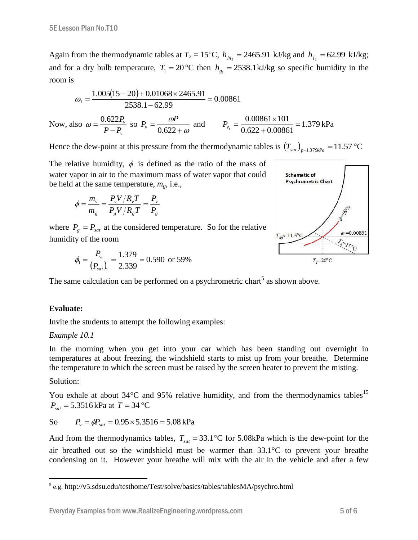Again from the thermodynamic tables at  $T_2 = 15^{\circ}\text{C}$ ,  $h_{f_{g_2}} = 2465.91 \text{ kJ/kg}$  and  $h_{f_2} = 62.99 \text{ kJ/kg}$ ; and for a dry bulb temperature,  $T_1 = 20$  °C then  $h_{g_1} = 2538.1 \text{ kJ/kg}$  so specific humidity in the room is

$$
\omega_1 = \frac{1.005(15 - 20) + 0.01068 \times 2465.91}{2538.1 - 62.99} = 0.00861
$$

Now, also *v v*  $P - P$ *P*  $\overline{a}$  $\omega = \frac{0.622 P_v}{P - P}$  so  $P_v = \frac{\omega P}{0.622 + \omega}$  $\omega$  $\ddot{}$  $=$ 0.622  $P_v = \frac{\omega P}{0.622 \text{ km}}$  and  $P_{v_i} = \frac{0.00861 \times 101}{0.622 \times 0.00961} = 1.379$  $0.622 + 0.00861$  $0.00861 \times 101$  $\frac{1}{1} = \frac{0.00001 \times 101}{0.622 + 0.00861} =$  $\ddot{}$  $P_{v_1} = \frac{0.00861 \times 101}{0.622 \times 0.00961} = 1.379 \text{ kPa}$ 

Hence the dew-point at this pressure from the thermodynamic tables is  $(T_{sat})_{p=1.379kPa} = 11.57 \text{ °C}$ 

The relative humidity,  $\phi$  is defined as the ratio of the mass of water vapor in air to the maximum mass of water vapor that could be held at the same temperature,  $m_g$ , i.e.,

$$
\phi = \frac{m_v}{m_g} = \frac{P_v V / R_v T}{P_g V / R_g T} = \frac{P_v}{P_g}
$$

where  $P_g = P_{sat}$  at the considered temperature. So for the relative humidity of the room

$$
\phi_{\rm l} = \frac{P_{\rm v_{\rm l}}}{\left(P_{\rm sat}\right)_{\rm l}} = \frac{1.379}{2.339} = 0.590 \text{ or } 59\%
$$

The same calculation can be performed on a psychrometric chart<sup>5</sup> as shown above.

## **Evaluate:**

Invite the students to attempt the following examples:

#### *Example 10.1*

In the morning when you get into your car which has been standing out overnight in temperatures at about freezing, the windshield starts to mist up from your breathe. Determine the temperature to which the screen must be raised by the screen heater to prevent the misting.

#### Solution:

You exhale at about  $34^{\circ}$ C and 95% relative humidity, and from the thermodynamics tables<sup>15</sup>  $P_{\text{sat}} = 5.3516 \,\text{kPa}$  at  $T = 34 \,^{\circ}\text{C}$ 

So 
$$
P_v = \phi P_{sat} = 0.95 \times 5.3516 = 5.08 \text{ kPa}
$$

And from the thermodynamics tables,  $T_{\text{sat}} = 33.1 \text{°C}$  for 5.08kPa which is the dew-point for the air breathed out so the windshield must be warmer than  $33.1^{\circ}$ C to prevent your breathe condensing on it. However your breathe will mix with the air in the vehicle and after a few

 5 e.g. http://v5.sdsu.edu/testhome/Test/solve/basics/tables/tablesMA/psychro.html